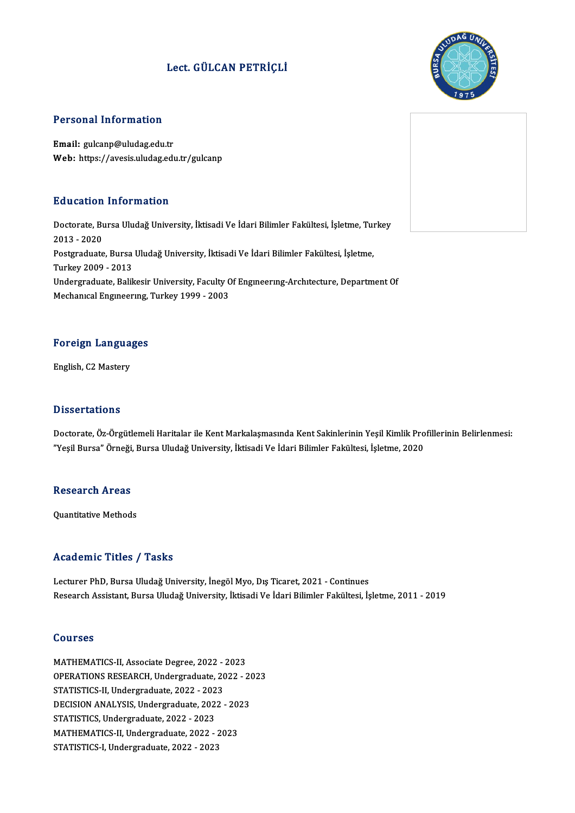### Lect. GÜLCAN PETRİÇLİ



### Personal Information

Email: gulcanp@uludag.edu.tr Web: https://avesis.uludag.edu.tr/gulcanp

### Education Information

**Education Information**<br>Doctorate, Bursa Uludağ University, İktisadi Ve İdari Bilimler Fakültesi, İşletme, Turkey<br>2013 - 2020 2013 -2020<br>2013 - 2020<br>Postaroduato Doctorate, Bursa Uludağ University, İktisadi Ve İdari Bilimler Fakültesi, İşletme, Tul<br>2013 - 2020<br>Postgraduate, Bursa Uludağ University, İktisadi Ve İdari Bilimler Fakültesi, İşletme,<br>Turkay 2009 - 2012 2013 - 2020<br>Postgraduate, Bursa<br>Turkey 2009 - 2013<br>Undergraduate, Belil Postgraduate, Bursa Uludağ University, İktisadi Ve İdari Bilimler Fakültesi, İşletme,<br>Turkey 2009 - 2013<br>Undergraduate, Balikesir University, Faculty Of Engıneerıng-Archıtecture, Department Of<br>Mechanuel Enguneerung, Turkey Turkey 2009 - 2013<br>Undergraduate, Balikesir University, Faculty Of Engineering-Architecture, Department Of<br>Mechanical Engineering, Turkey 1999 - 2003

### Foreign Languages F<mark>oreign Langua</mark><br>English, C2 Mastery

English, C2 Mastery<br>Dissertations

Doctorate, Öz-Örgütlemeli Haritalar ile Kent Markalaşmasında Kent Sakinlerinin Yeşil Kimlik Profillerinin Belirlenmesi: "YeşilBursa"Örneği,BursaUludağUniversity, İktisadiVe İdariBilimler Fakültesi, İşletme,2020

### reșii bursa Ornegi,<br>Research Areas Re<mark>search Areas</mark><br>Quantitative Methods

# Quantitative Methods<br>Academic Titles / Tasks

Lecturer PhD, Bursa Uludağ University, İnegöl Myo, Dış Ticaret, 2021 - Continues Research Assistant, Bursa Uludağ University, İktisadi Ve İdari Bilimler Fakültesi, İşletme, 2011 - 2019

#### Courses

Courses<br>MATHEMATICS-II, Associate Degree, 2022 - 2023<br>OPERATIONS RESEARCH, Undergraduate, 2022 - 2 OOUTDOS<br>MATHEMATICS-II, Associate Degree, 2022 - 2023<br>OPERATIONS RESEARCH, Undergraduate, 2022 - 2023<br>STATISTICS II, Undergraduate, 2022 - 2022 MATHEMATICS-II, Associate Degree, 2022 -<br>OPERATIONS RESEARCH, Undergraduate, 20<br>STATISTICS-II, Undergraduate, 2022 - 2023<br>DECISION ANALYSIS, Undergraduate, 2022 OPERATIONS RESEARCH, Undergraduate, 2022 - 20<br>STATISTICS-II, Undergraduate, 2022 - 2023<br>DECISION ANALYSIS, Undergraduate, 2022 - 2023<br>STATISTICS, Undergraduate, 2022 - 2022 STATISTICS-II, Undergraduate, 2022 - 2023<br>DECISION ANALYSIS, Undergraduate, 2022 - 2023<br>STATISTICS, Undergraduate, 2022 - 2023 DECISION ANALYSIS, Undergraduate, 2022 - 20.<br>STATISTICS, Undergraduate, 2022 - 2023<br>MATHEMATICS-II, Undergraduate, 2022 - 2023<br>STATISTICS I Undergraduate, 2022 - 2022 STATISTICS, Undergraduate, 2022 - 2023<br>MATHEMATICS-II, Undergraduate, 2022 - 2<br>STATISTICS-I, Undergraduate, 2022 - 2023

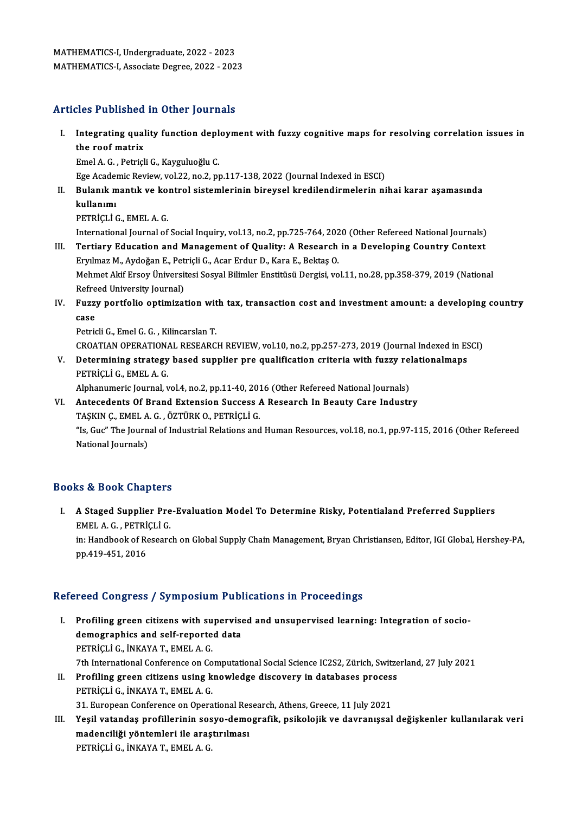## MATHEMATICS-I, Associate Degree, 2022 - 2023<br>Articles Published in Other Journals

rticles Published in Other Journals<br>I. Integrating quality function deployment with fuzzy cognitive maps for resolving correlation issues in<br>the reef metrix Integrating qualities a distinct<br>the roof matrix<br>Emal A C - Batrick Integrating quality function depl<br>the roof matrix<br>Emel A. G. , Petriçli G., Kayguluoğlu C.<br>Ege Academia Beyjaw vol 33. no.3. nr the roof matrix<br>Emel A. G. , Petriçli G., Kayguluoğlu C.<br>Ege Academic Review, vol.22, no.2, pp.117-138, 2022 (Journal Indexed in ESCI)

Emel A. G. , Petriçli G., Kayguluoğlu C.<br>Ege Academic Review, vol.22, no.2, pp.117-138, 2022 (Journal Indexed in ESCI)<br>II. Bulanık mantık ve kontrol sistemlerinin bireysel kredilendirmelerin nihai karar aşamasında<br>II. Ege Acader<br><mark>Bulanık m</mark><br>kullanımı<br>PETRİCLİ 6 kullanımı<br>PETRİÇLİ G., EMEL A. G.

```
kullanımı<br>PETRİÇLİ G., EMEL A. G.<br>International Journal of Social Inquiry, vol.13, no.2, pp.725-764, 2020 (Other Refereed National Journals)<br>Tertiany Education and Management of Quality: A Bessarsh in a Dovelaning Countyy
```
- III. Tertiary Education and Management of Quality: A Research in a Developing Country Context<br>Erylmaz M., Aydoğan E., Petricli G., Acar Erdur D., Kara E., Bektaş O. International Journal of Social Inquiry, vol.13, no.2, pp.725-764, 202<br>Tertiary Education and Management of Quality: A Research<br>Eryılmaz M., Aydoğan E., Petriçli G., Acar Erdur D., Kara E., Bektaş O.<br>Mehmet Akif Ersey Üniv Tertiary Education and Management of Quality: A Research in a Developing Country Context<br>Eryılmaz M., Aydoğan E., Petriçli G., Acar Erdur D., Kara E., Bektaş O.<br>Mehmet Akif Ersoy Üniversitesi Sosyal Bilimler Enstitüsü Derg Eryılmaz M., Aydoğan E., Pet<br>Mehmet Akif Ersoy Üniversit<br>Refreed University Journal)<br>Euggy portfolio ontiminat Mehmet Akif Ersoy Üniversitesi Sosyal Bilimler Enstitüsü Dergisi, vol.11, no.28, pp.358-379, 2019 (National<br>Refreed University Journal)<br>IV. Fuzzy portfolio optimization with tax, transaction cost and investment amount: a d
- Refreed University Journal)<br>IV. Fuzzy portfolio optimization with tax, transaction cost and investment amount: a developing country<br>case

Petricli G., Emel G. G., Kilincarslan T. CROATIAN OPERATIONAL RESEARCH REVIEW, vol.10, no.2, pp.257-273, 2019 (Journal Indexed in ESCI) Petricli G., Emel G. G. , Kilincarslan T.<br>CROATIAN OPERATIONAL RESEARCH REVIEW, vol.10, no.2, pp.257-273, 2019 (Journal Indexed in ES<br>V. Determining strategy based supplier pre qualification criteria with fuzzy relationalm

CROATIAN OPERATION:<br>Determining strategy<br>PETRİÇLİ G., EMEL A. G.<br>Alphanumeris Journal v Determining strategy based supplier pre qualification criteria with fuzzy ref<br>PETRİÇLİ G., EMEL A. G.<br>Alphanumeric Journal, vol.4, no.2, pp.11-40, 2016 (Other Refereed National Journals)<br>Antecedents Of Prand Extension Suss PETRİÇLİ G., EMEL A. G.<br>Alphanumeric Journal, vol.4, no.2, pp.11-40, 2016 (Other Refereed National Journals)<br>VI. Antecedents Of Brand Extension Success A Research In Beauty Care Industry

Alphanumeric Journal, vol.4, no.2, pp.11-40, 201<br>Antecedents Of Brand Extension Success /<br>TAŞKIN Ç., EMEL A. G. , ÖZTÜRK O., PETRİÇLİ G.<br>"Je Cue" The Journal of Industrial Belations and

"Is, Guc" The Journal of Industrial Relations and Human Resources, vol.18, no.1, pp.97-115, 2016 (Other Refereed<br>National Journals) TAŞKIN Ç., EMEL A<br>"Is, Guc" The Journ<br>National Journals)

### Books&Book Chapters

ooks & Book Chapters<br>I. A Staged Supplier Pre-Evaluation Model To Determine Risky, Potentialand Preferred Suppliers<br>FMELA C. PETRICLI C EMELA.G., PETRİÇLİ<br>A Staged Supplier Pre<br>EMELA.G., PETRİÇLİ G. A Staged Supplier Pre-Evaluation Model To Determine Risky, Potentialand Preferred Suppliers<br>EMEL A. G. , PETRİÇLİ G.<br>in: Handbook of Research on Global Supply Chain Management, Bryan Christiansen, Editor, IGI Global, Hersh EMEL A. G. , PETRI<br>in: Handbook of Re<br>pp.419-451, 2016

# pp.419-451, 2016<br>Refereed Congress / Symposium Publications in Proceedings

efereed Congress / Symposium Publications in Proceedings<br>I. Profiling green citizens with supervised and unsupervised learning: Integration of socio-<br>demographies and self-reported data Profiling green citizens with supervise<br>demographics and self-reported data<br>perpicular in WAVA T. EMELA G demographics and self-reported data<br>PETRİÇLİ G., İNKAYA T., EMEL A. G. demographics and self-reported data<br>PETRİÇLİ G., İNKAYA T., EMEL A. G.<br>7th International Conference on Computational Social Science IC2S2, Zürich, Switzerland, 27 July 2021<br>Prefiling green eitisens using knowledge dissover PETRİÇLİ G., İNKAYA T., EMEL A. G.<br>7th International Conference on Computational Social Science IC2S2, Zürich, Switze<br>II. Profiling green citizens using knowledge discovery in databases process<br>PETRICLI G. İNKAYA T. EMEL A 7th International Conference on Co<br>Profiling green citizens using k<br>PETRİÇLİ G., İNKAYA T., EMEL A. G.<br>21. Euronean Conference en Opera Profiling green citizens using knowledge discovery in databases proces:<br>PETRİÇLİ G., İNKAYA T., EMEL A. G.<br>31. European Conference on Operational Research, Athens, Greece, 11 July 2021<br>Yesil vetandas prafillerinin seave de

PETRİÇLİ G., İNKAYA T., EMEL A. G.<br>31. European Conference on Operational Research, Athens, Greece, 11 July 2021<br>III. Yeşil vatandaş profillerinin sosyo-demografik, psikolojik ve davranışsal değişkenler kullanılarak ve 31. European Conference on Operational Res<br>Yeşil vatandaş profillerinin sosyo-demo<br>madenciliği yöntemleri ile araştırılması<br>PETRİÇLİ G. İNKAYA T. EMELA G Yeşil vatandaş profillerinin sos<br>madenciliği yöntemleri ile araş<br>PETRİÇLİ G., İNKAYA T., EMEL A. G.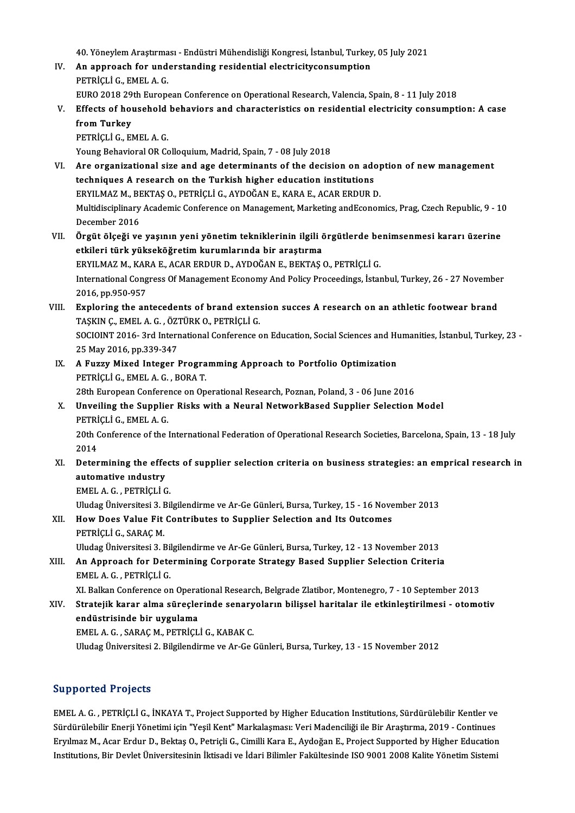40. Yöneylem Araştırması - Endüstri Mühendisliği Kongresi, İstanbul, Turkey, 05 July 2021<br>An annyasak far undarstanding residential electrisityaansumptien

- 40. Yöneylem Araştırması Endüstri Mühendisliği Kongresi, İstanbul, Turkey<br>IV. An approach for understanding residential electricityconsumption<br>RETRICLI C. EMEL A C 40. Yöneylem Araştırma<br>An approach for und<br>PETRİÇLİ G., EMEL A. G.<br>FUPO 2018.20th Europe An approach for understanding residential electricityconsumption<br>PETRİÇLİ G., EMEL A. G.<br>EURO 2018 29th European Conference on Operational Research, Valencia, Spain, 8 - 11 July 2018<br>Effects of beysebeld behaviors and shar
- PETRİÇLİ G., EMEL A. G.<br>EURO 2018 29th European Conference on Operational Research, Valencia, Spain, 8 11 July 2018<br>V. Effects of household behaviors and characteristics on residential electricity consumption: A case EURO 2018 29<br>Effects of hot<br>from Turkey<br>PETRICLIC EL Effects of household<br>from Turkey<br>PETRİÇLİ G., EMEL A. G.<br>Young Behaviaral OB Ge from Turkey<br>PETRİÇLİ G., EMEL A. G.<br>Young Behavioral OR Colloquium, Madrid, Spain, 7 - 08 July 2018

- PETRİÇLİ G., EMEL A. G.<br>Young Behavioral OR Colloquium, Madrid, Spain, 7 08 July 2018<br>VI. Are organizational size and age determinants of the decision on adoption of new management<br>techniques A research on the Turkish bi Young Behavioral OR Colloquium, Madrid, Spain, 7 - 08 July 2018<br>Are organizational size and age determinants of the decision on add<br>techniques A research on the Turkish higher education institutions<br>EPVILMAZ M. PEVTAS O. P Are organizational size and age determinants of the decision on adoptechniques A research on the Turkish higher education institutions<br>ERYILMAZ M., BEKTAŞ O., PETRİÇLİ G., AYDOĞAN E., KARA E., ACAR ERDUR D.<br>Multidisciplina techniques A research on the Turkish higher education institutions<br>ERYILMAZ M., BEKTAŞ O., PETRİÇLİ G., AYDOĞAN E., KARA E., ACAR ERDUR D.<br>Multidisciplinary Academic Conference on Management, Marketing andEconomics, Prag, ERYILMAZ M., BEKTAŞ O., PETRİÇLİ G., AYDOĞAN E., KARA E., ACAR ERDUR D. Wultidisciplinary Academic Conference on Management, Marketing andEconomics, Prag, Czech Republic, 9 - 1<br>December 2016<br>VII. Örgüt ölçeği ve yaşının yeni yönetim tekniklerinin ilgili örgütlerde benimsenmesi kararı üzerine<br>A
- December 2016<br>Örgüt ölçeği ve yaşının yeni yönetim tekniklerinin ilgili ö<br>etkileri türk yükseköğretim kurumlarında bir araştırma<br>EPVILMAZM, KARA E. ACAR EPDUR D. AVDOČAN E. PEKTAS ( Örgüt ölçeği ve yaşının yeni yönetim tekniklerinin ilgili örgütlerde be<br>etkileri türk yükseköğretim kurumlarında bir araştırma<br>ERYILMAZ M., KARA E., ACAR ERDUR D., AYDOĞAN E., BEKTAŞ O., PETRİÇLİ G.<br>International Congress etkileri türk yükseköğretim kurumlarında bir araştırma<br>ERYILMAZ M., KARA E., ACAR ERDUR D., AYDOĞAN E., BEKTAŞ O., PETRİÇLİ G.<br>International Congress Of Management Economy And Policy Proceedings, İstanbul, Turkey, 26 - 27 ERYILMAZ M., KARA E., ACAR ERDUR D., AYDOĞAN E., BEKTAŞ O., PETRİÇLİ G. International Congress Of Management Economy And Policy Proceedings, İstanbul, Turkey, 26 - 27 Novembe<br>2016, pp.950-957<br>VIII. Exploring the antecedents of brand extension succes A research on an athletic footwear brand<br>TAS
- 2016, pp.950-957<br>Exploring the antecedents of brand exten:<br>TAŞKIN Ç., EMEL A. G. , ÖZTÜRK O., PETRİÇLİ G.<br>SOCION'T 2016, 2rd International Conference c Exploring the antecedents of brand extension succes A research on an athletic footwear brand<br>TAŞKIN Ç., EMEL A. G. , ÖZTÜRK O., PETRİÇLİ G.<br>SOCIOINT 2016- 3rd International Conference on Education, Social Sciences and Huma TAŞKIN Ç., EMEL A. G. , ÖZTÜRK O., PETRİÇLİ G.<br>SOCIOINT 2016- 3rd International Conference on Education, Social Sciences and Humanities, İstanbul, Turkey, 23<br>25 May 2016, pp.339-347 SOCIOINT 2016-3rd International Conference on Education, Social Sciences and Hu<br>25 May 2016, pp.339-347<br>IX. A Fuzzy Mixed Integer Programming Approach to Portfolio Optimization<br>PETPICLIC FMELA C. POPAT
- 25 May 2016, pp.339-347<br>A Fuzzy Mixed Integer Progra<br>PETRİÇLİ G., EMEL A.G. , BORA T.<br>29th European Conference en Op. 19 A Fuzzy Mixed Integer Programming Approach to Portfolio Optimization<br>PETRİÇLİ G., EMEL A. G. , BORA T.<br>28th European Conference on Operational Research, Poznan, Poland, 3 - 06 June 2016<br>Unveiling the Sunnliar Bisks with PETRİÇLİ G., EMEL A. G. , BORA T.<br>28th European Conference on Operational Research, Poznan, Poland, 3 - 06 June 2016<br>X. Unveiling the Supplier Risks with a Neural NetworkBased Supplier Selection Model 28th European Conference on Operational Research, Poznan, Poland, 3 - 06 June 2016
- PETRICLI G., EMEL A. G.

20th Conference of the International Federation of Operational Research Societies, Barcelona, Spain, 13 - 18 July<br>2014 20th Conference of the International Federation of Operational Research Societies, Barcelona, Spain, 13 - 18 July<br>2014<br>XI. Determining the effects of supplier selection criteria on business strategies: an emprical research

2014<br>Determining the effe<br>automative industry<br>EMELA C. PETRICLIC Determining the effec<br>automative industry<br>EMEL A.G., PETRİÇLİ G.<br>Uludas Üniversitesi 2, Bil automative Industry<br>EMEL A. G. , PETRİÇLİ G.<br>Uludag Üniversitesi 3. Bilgilendirme ve Ar-Ge Günleri, Bursa, Turkey, 15 - 16 November 2013

- EMEL A. G. , PETRİÇLİ G.<br>Uludag Üniversitesi 3. Bilgilendirme ve Ar-Ge Günleri, Bursa, Turkey, 15 16 Nove<br>XII. How Does Value Fit Contributes to Supplier Selection and Its Outcomes<br>RETRICLLE SARACM Uludag Üniversitesi 3. I<br>How Does Value Fit<br>PETRİÇLİ G., SARAÇ M.<br>Uludag Üniversitesi 3. I How Does Value Fit Contributes to Supplier Selection and Its Outcomes<br>PETRİÇLİ G., SARAÇ M.<br>Uludag Üniversitesi 3. Bilgilendirme ve Ar-Ge Günleri, Bursa, Turkey, 12 - 13 November 2013<br>An Annreach for Determining Conneaste
- PETRİÇLİ G., SARAÇ M.<br>Uludag Üniversitesi 3. Bilgilendirme ve Ar-Ge Günleri, Bursa, Turkey, 12 13 November 2013<br>XIII. An Approach for Determining Corporate Strategy Based Supplier Selection Criteria Uludag Üniversitesi 3. Bil<br>An Approach for Dete<br>EMEL A. G. , PETRİÇLİ G.<br>YL Balkan Conforence er An Approach for Determining Corporate Strategy Based Supplier Selection Criteria<br>EMEL A. G. , PETRİÇLİ G.<br>XI. Balkan Conference on Operational Research, Belgrade Zlatibor, Montenegro, 7 - 10 September 2013<br>Stratejik karar

EMEL A. G. , PETRİÇLİ G.<br>XI. Balkan Conference on Operational Research, Belgrade Zlatibor, Montenegro, 7 - 10 September 2013<br>XIV. Stratejik karar alma süreçlerinde senaryoların bilişsel haritalar ile etkinleştirilmesi XI. Balkan Conference on Opera<br>Stratejik karar alma süreçle:<br>endüstrisinde bir uygulama<br>EMEL A C - SABAC M- PETRİCI Stratejik karar alma süreçlerinde senary<br>endüstrisinde bir uygulama<br>EMEL A. G. , SARAÇ M., PETRİÇLİ G., KABAK C.<br>Uludas Üniversitesi 2. Bilsilandirma ve Ar Cod endüstrisinde bir uygulama<br>EMEL A. G. , SARAÇ M., PETRİÇLİ G., KABAK C.<br>Uludag Üniversitesi 2. Bilgilendirme ve Ar-Ge Günleri, Bursa, Turkey, 13 - 15 November 2012

### Supported Projects

EMEL A. G., PETRİÇLİ G., İNKAYA T., Project Supported by Higher Education Institutions, Sürdürülebilir Kentler ve Süpported Trojeces<br>Sürdürülebilir Enerji Yönetimi için "Yeşil Kent" Markalaşması: Veri Madenciliği ile Bir Araştırma, 2019 - Continues<br>Sürdürülebilir Enerji Yönetimi için "Yeşil Kent" Markalaşması: Veri Madenciliği ile Bir EMEL A. G. , PETRİÇLİ G., İNKAYA T., Project Supported by Higher Education Institutions, Sürdürülebilir Kentler ve<br>Sürdürülebilir Enerji Yönetimi için "Yeşil Kent" Markalaşması: Veri Madenciliği ile Bir Araştırma, 2019 - C Eryılmaz M., Acar Erdur D., Bektaş O., Petriçli G., Cimilli Kara E., Aydoğan E., Project Supported by Higher Education<br>Institutions, Bir Devlet Üniversitesinin İktisadi ve İdari Bilimler Fakültesinde ISO 9001 2008 Kalite Y